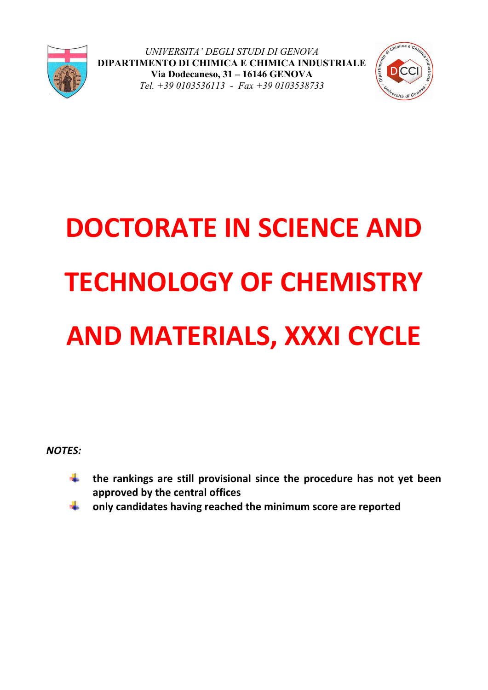



# **DOCTORATE IN SCIENCE AND TECHNOLOGY OF CHEMISTRY AND MATERIALS, XXXI CYCLE**

*NOTES:*

- $\downarrow$  the rankings are still provisional since the procedure has not yet been **approved by the central offices**
- **only candidates having reached the minimum score are reported**÷.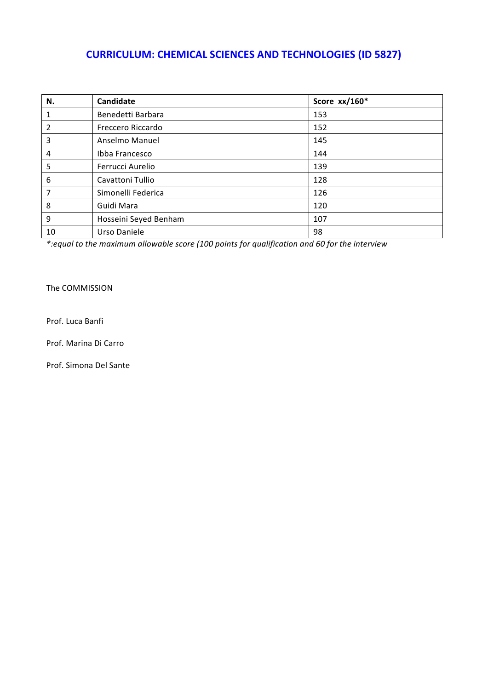## **CURRICULUM: CHEMICAL SCIENCES AND TECHNOLOGIES (ID 5827)**

| N.             | <b>Candidate</b>      | Score xx/160* |
|----------------|-----------------------|---------------|
| $\mathbf{1}$   | Benedetti Barbara     | 153           |
| $\overline{2}$ | Freccero Riccardo     | 152           |
| 3              | Anselmo Manuel        | 145           |
| $\overline{4}$ | Ibba Francesco        | 144           |
| 5              | Ferrucci Aurelio      | 139           |
| 6              | Cavattoni Tullio      | 128           |
| $\overline{7}$ | Simonelli Federica    | 126           |
| 8              | Guidi Mara            | 120           |
| 9              | Hosseini Seyed Benham | 107           |
| 10             | Urso Daniele          | 98            |

\*:equal to the maximum allowable score (100 points for qualification and 60 for the interview

The COMMISSION

Prof. Luca Banfi

Prof. Marina Di Carro

Prof. Simona Del Sante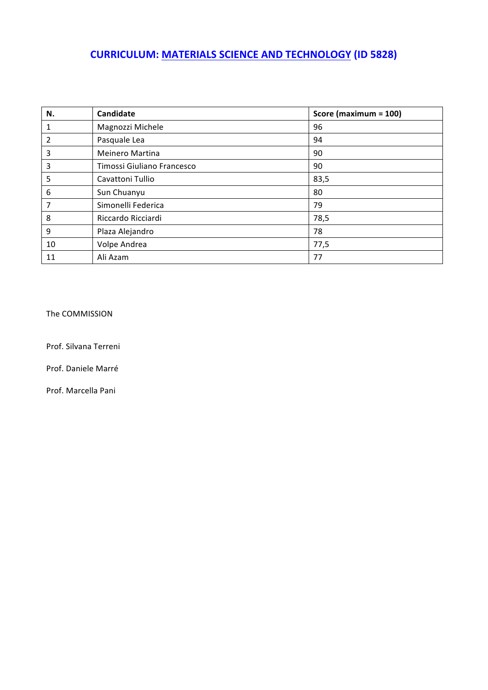# **CURRICULUM: MATERIALS SCIENCE AND TECHNOLOGY (ID 5828)**

| N.             | <b>Candidate</b>           | Score (maximum = 100) |
|----------------|----------------------------|-----------------------|
| 1              | Magnozzi Michele           | 96                    |
| $\overline{2}$ | Pasquale Lea               | 94                    |
| 3              | <b>Meinero Martina</b>     | 90                    |
| 3              | Timossi Giuliano Francesco | 90                    |
| -5             | Cavattoni Tullio           | 83,5                  |
| 6              | Sun Chuanyu                | 80                    |
| 7              | Simonelli Federica         | 79                    |
| 8              | Riccardo Ricciardi         | 78,5                  |
| 9              | Plaza Alejandro            | 78                    |
| 10             | Volpe Andrea               | 77,5                  |
| 11             | Ali Azam                   | 77                    |

The COMMISSION

Prof. Silvana Terreni

Prof. Daniele Marré

Prof. Marcella Pani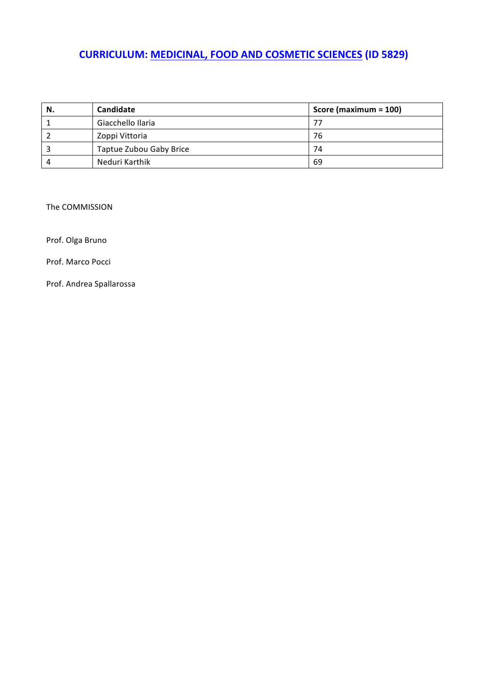# **CURRICULUM: MEDICINAL, FOOD AND COSMETIC SCIENCES (ID 5829)**

| N. | Candidate               | Score (maximum = 100) |
|----|-------------------------|-----------------------|
|    | Giacchello Ilaria       |                       |
|    | Zoppi Vittoria          | 76                    |
|    | Taptue Zubou Gaby Brice | 74                    |
|    | Neduri Karthik          | 69                    |

The COMMISSION

Prof. Olga Bruno

Prof. Marco Pocci

Prof. Andrea Spallarossa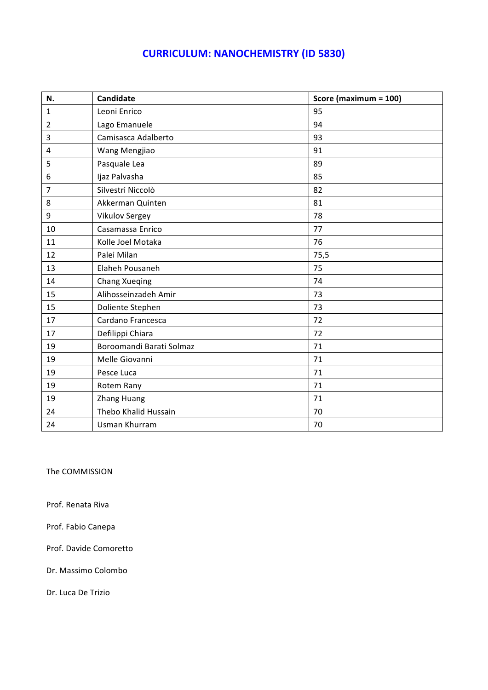## **CURRICULUM: NANOCHEMISTRY (ID 5830)**

| N.             | Candidate                | Score (maximum = 100) |
|----------------|--------------------------|-----------------------|
| $\mathbf{1}$   | Leoni Enrico             | 95                    |
| $\overline{2}$ | Lago Emanuele            | 94                    |
| 3              | Camisasca Adalberto      | 93                    |
| 4              | Wang Mengjiao            | 91                    |
| 5              | Pasquale Lea             | 89                    |
| 6              | Ijaz Palvasha            | 85                    |
| 7              | Silvestri Niccolò        | 82                    |
| 8              | Akkerman Quinten         | 81                    |
| 9              | Vikulov Sergey           | 78                    |
| 10             | Casamassa Enrico         | 77                    |
| 11             | Kolle Joel Motaka        | 76                    |
| 12             | Palei Milan              | 75,5                  |
| 13             | Elaheh Pousaneh          | 75                    |
| 14             | Chang Xueqing            | 74                    |
| 15             | Alihosseinzadeh Amir     | 73                    |
| 15             | Doliente Stephen         | 73                    |
| 17             | Cardano Francesca        | 72                    |
| 17             | Defilippi Chiara         | 72                    |
| 19             | Boroomandi Barati Solmaz | 71                    |
| 19             | Melle Giovanni           | 71                    |
| 19             | Pesce Luca               | 71                    |
| 19             | Rotem Rany               | 71                    |
| 19             | <b>Zhang Huang</b>       | 71                    |
| 24             | Thebo Khalid Hussain     | 70                    |
| 24             | <b>Usman Khurram</b>     | 70                    |

The COMMISSION

Prof. Renata Riva

Prof. Fabio Canepa

Prof. Davide Comoretto

Dr. Massimo Colombo

Dr. Luca De Trizio